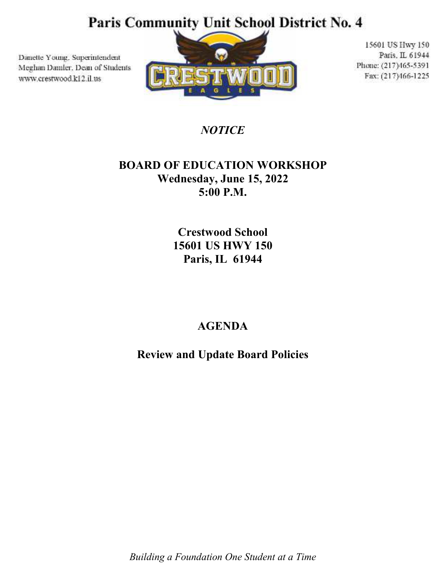### Paris Community Unit School District No. 4

Danette Young, Superintendent Meghan Damler, Dean of Students www.crestwood.ki2.il.us



15601 US Hwy 150 Paris, IL 61944 Phone: (217)465-5391 Fax: (217)466-1225

*NOTICE* 

### **BOARD OF EDUCATION WORKSHOP Wednesday, June 15, 2022 5:00 P.M.**

**Crestwood School 15601 US HWY 150 Paris, IL 61944** 

### **AGENDA**

**Review and Update Board Policies** 

*Building a Foundation One Student at a Time*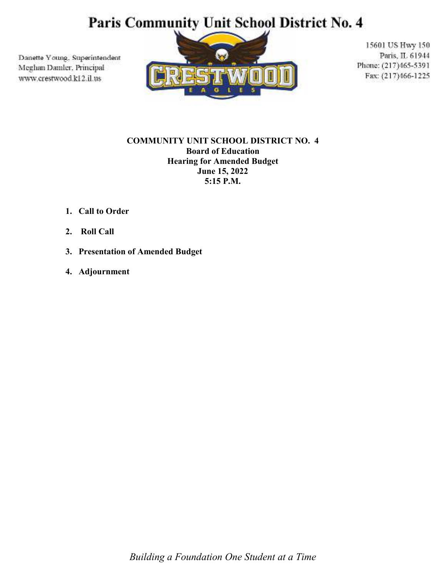# Paris Community Unit School District No. 4

Danette Young, Superintendent Meghan Damler, Principal www.crestwood.k12.il.us



15601 US Hwy 150 Paris, IL 61944 Phone: (217)465-5391 Fax: (217)466-1225

#### **COMMUNITY UNIT SCHOOL DISTRICT NO. 4 Board of Education Hearing for Amended Budget June 15, 2022 5:15 P.M.**

- **1. Call to Order**
- **2. Roll Call**
- **3. Presentation of Amended Budget**
- **4. Adjournment**